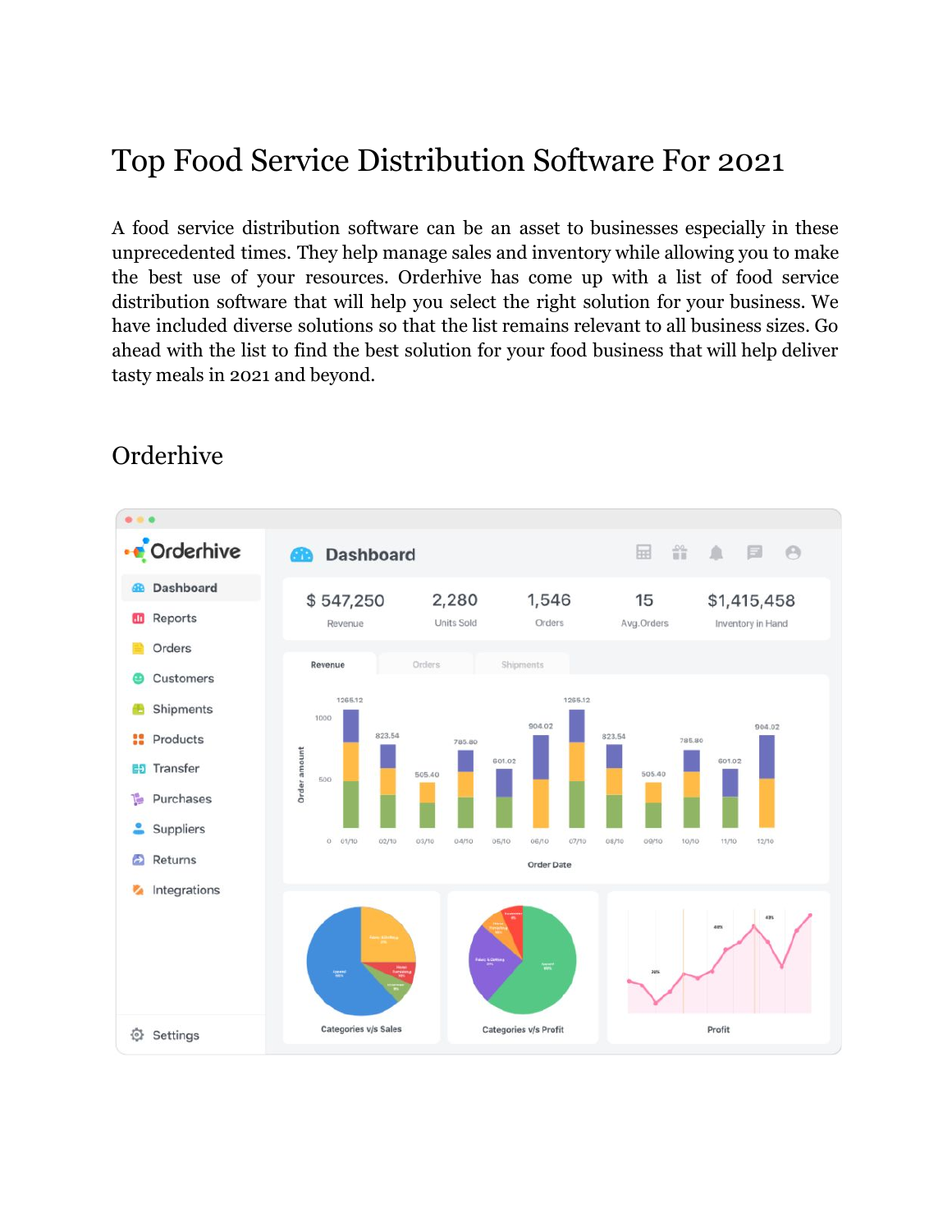# Top Food Service Distribution Software For 2021

A food service distribution software can be an asset to businesses especially in these unprecedented times. They help manage sales and inventory while allowing you to make the best use of your resources. Orderhive has come up with a list of food service distribution software that will help you select the right solution for your business. We have included diverse solutions so that the list remains relevant to all business sizes. Go ahead with the list to find the best solution for your food business that will help deliver tasty meals in 2021 and beyond.



#### Orderhive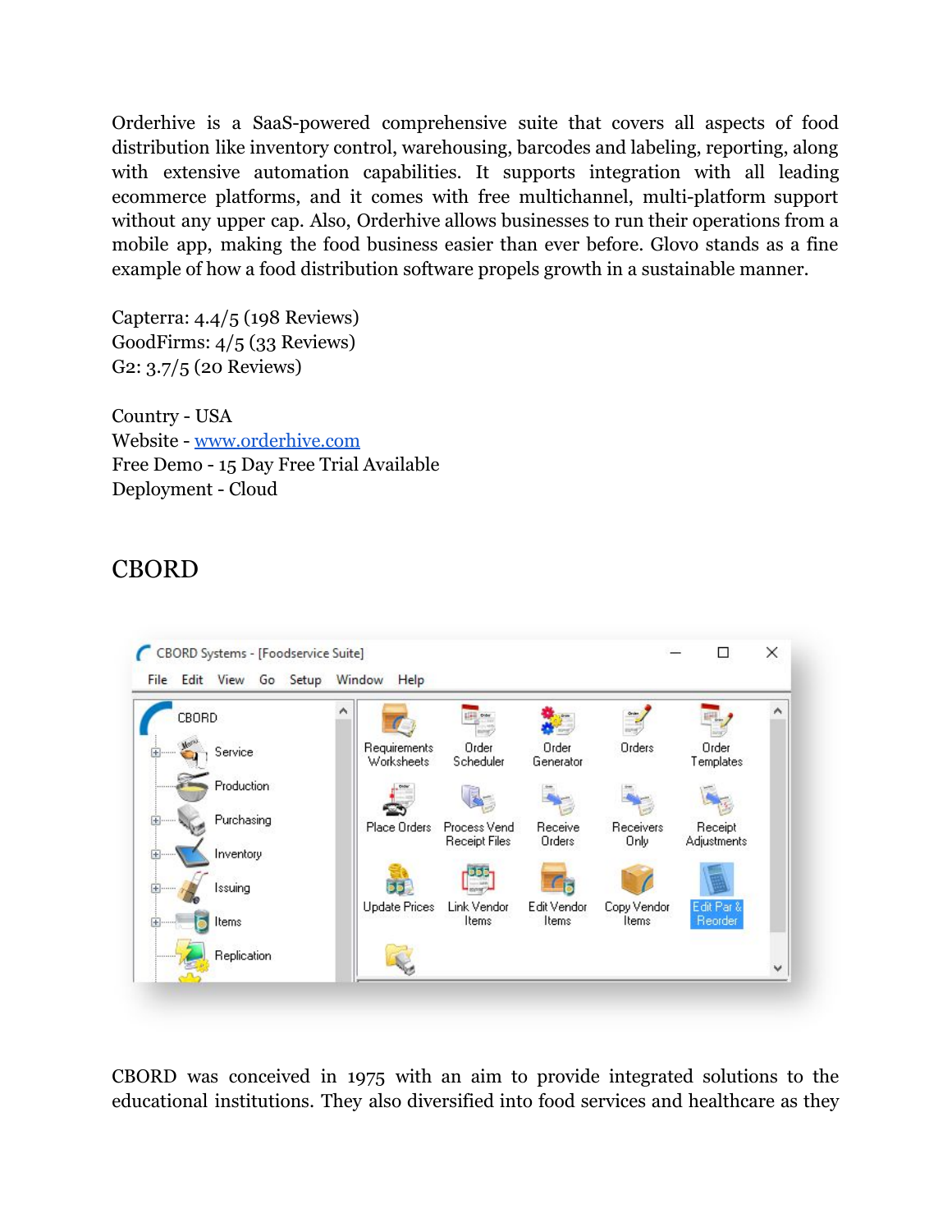Orderhive is a SaaS-powered comprehensive suite that covers all aspects of food distribution like inventory control, warehousing, barcodes and labeling, reporting, along with extensive automation capabilities. It supports integration with all leading ecommerce platforms, and it comes with free multichannel, multi-platform support without any upper cap. Also, Orderhive allows businesses to run their operations from a mobile app, making the food business easier than ever before. Glovo stands as a fine example of how a food distribution software propels growth in a sustainable manner.

Capterra: 4.4/5 (198 Reviews) GoodFirms: 4/5 (33 Reviews) G2: 3.7/5 (20 Reviews)

Country - USA Website - [www.orderhive.com](http://www.orderhive.com/) Free Demo - 15 Day Free Trial Available Deployment - Cloud

#### CBORD



CBORD was conceived in 1975 with an aim to provide integrated solutions to the educational institutions. They also diversified into food services and healthcare as they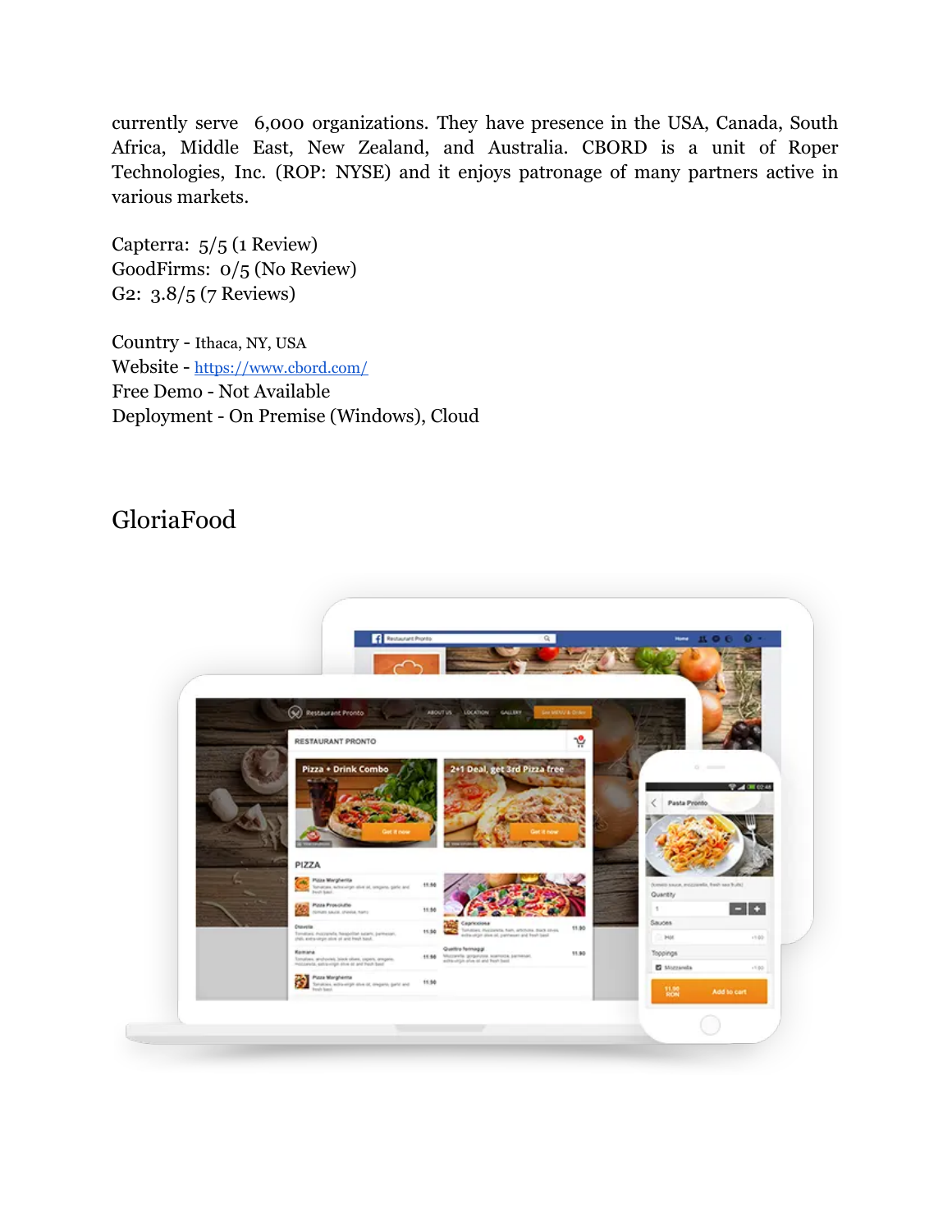currently serve 6,000 organizations. They have presence in the USA, Canada, South Africa, Middle East, New Zealand, and Australia. CBORD is a unit of Roper Technologies, Inc. (ROP: NYSE) and it enjoys patronage of many partners active in various markets.

Capterra: 5/5 (1 Review) GoodFirms: 0/5 (No Review) G2: 3.8/5 (7 Reviews)

Country - Ithaca, NY, USA Website - <https://www.cbord.com/> Free Demo - Not Available Deployment - On Premise (Windows), Cloud

### GloriaFood

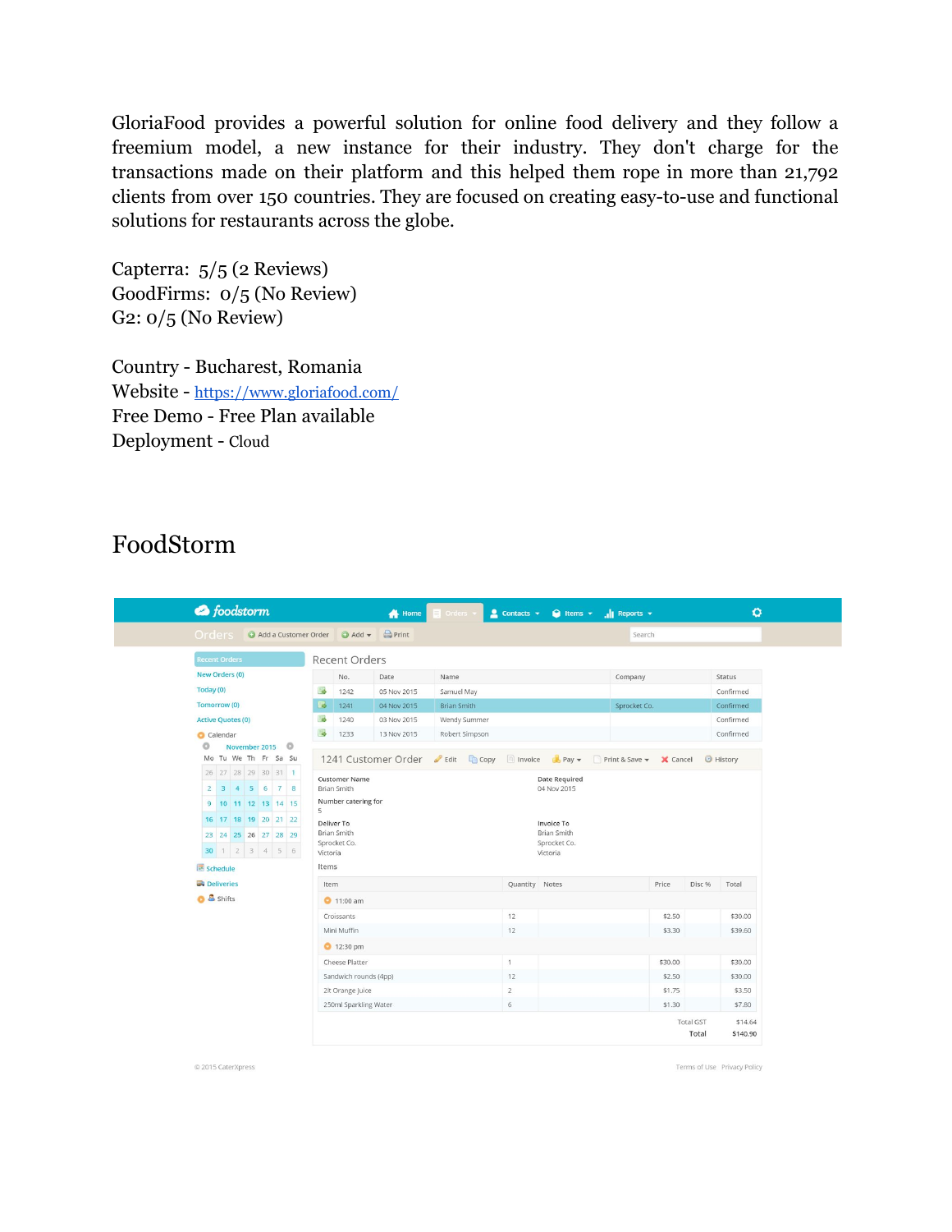GloriaFood provides a powerful solution for online food delivery and they follow a freemium model, a new instance for their industry. They don't charge for the transactions made on their platform and this helped them rope in more than 21,792 clients from over 150 countries. They are focused on creating easy-to-use and functional solutions for restaurants across the globe.

Capterra: 5/5 (2 Reviews) GoodFirms: 0/5 (No Review) G2: 0/5 (No Review)

Country - Bucharest, Romania Website - <https://www.gloriafood.com/> Free Demo - Free Plan available Deployment - Cloud

#### FoodStorm

| O release O Add a Customer Order O Add - |          |                                                                   | Print                                                               |              |  |                |         |                       |           |                  |                  |
|------------------------------------------|----------|-------------------------------------------------------------------|---------------------------------------------------------------------|--------------|--|----------------|---------|-----------------------|-----------|------------------|------------------|
|                                          |          | Search                                                            |                                                                     |              |  |                |         |                       |           |                  |                  |
| <b>Recent Orders</b>                     |          | Recent Orders                                                     |                                                                     |              |  |                |         |                       |           |                  |                  |
| New Orders (0)                           |          | No.                                                               | Date                                                                | Name         |  |                | Company |                       | Status    |                  |                  |
| Today (0)                                | <b>B</b> | 1242                                                              | 05 Nov 2015                                                         | Samuel May   |  |                |         |                       |           |                  | Confirmed        |
| Tomorrow (0)                             | ⊌        | 1241                                                              | 04 Nov 2015                                                         | Brian Smith  |  |                |         | Sprocket Co.          |           |                  | Confirmed        |
| <b>Active Quotes (0)</b>                 | 属        | 1240                                                              | 03 Nov 2015                                                         | Wendy Summer |  |                |         |                       |           |                  | Confirmed        |
| Calendar                                 | 形        | 1233                                                              | 13 Nov 2015<br>Robert Simpson                                       |              |  |                |         |                       | Confirmed |                  |                  |
| O<br>November 2015                       |          |                                                                   |                                                                     |              |  |                |         |                       |           |                  |                  |
| Mo Tu We Th Fr Sa Su                     |          |                                                                   | 1241 Customer Order <b>C</b> Edit Copy <b>Invoice C</b> Pay $\star$ |              |  |                |         | Print & Save v Cancel |           |                  | <b>B</b> History |
| 26 27 28 29 30 31 1                      |          | <b>Customer Name</b>                                              | Date Required                                                       |              |  |                |         |                       |           |                  |                  |
| 2 3 4 5 6 7 8                            |          | Brian Smith                                                       |                                                                     |              |  | 04 Nov 2015    |         |                       |           |                  |                  |
| 9 10 11 12 13 14 15                      | 5        | Number catering for                                               |                                                                     |              |  |                |         |                       |           |                  |                  |
| 16 17 18 19 20 21 22                     |          | Deliver To<br>Invoice To                                          |                                                                     |              |  |                |         |                       |           |                  |                  |
| 23 24 25 26 27 28 29                     |          | Brian Smith<br><b>Brian Smith</b><br>Sprocket Co.<br>Sprocket Co. |                                                                     |              |  |                |         |                       |           |                  |                  |
| 30 1 2 3 4 5 6                           |          | Victoria<br>Victoria                                              |                                                                     |              |  |                |         |                       |           |                  |                  |
| Schedule                                 |          | Items                                                             |                                                                     |              |  |                |         |                       |           |                  |                  |
| <b>Deliveries</b>                        |          | Item                                                              |                                                                     |              |  | Quantity Notes |         |                       | Price     | Disc %           | Total            |
| <b>O</b> & Shifts                        |          | $0$ 11:00 am                                                      |                                                                     |              |  |                |         |                       |           |                  |                  |
|                                          |          | Croissants                                                        |                                                                     |              |  | 12             |         |                       | \$2.50    |                  | \$30.00          |
|                                          |          | Mini Muffin                                                       |                                                                     |              |  | 12             |         |                       | \$3.30    |                  | \$39.60          |
|                                          |          | 12:30 pm                                                          |                                                                     |              |  |                |         |                       |           |                  |                  |
|                                          |          | Cheese Platter                                                    |                                                                     |              |  | $\overline{1}$ |         |                       | \$30.00   |                  | \$30.00          |
|                                          |          | Sandwich rounds (4pp)                                             |                                                                     |              |  | 12             |         |                       | \$2.50    |                  | \$30.00          |
|                                          |          |                                                                   |                                                                     |              |  |                |         |                       | \$1.75    |                  | \$3.50           |
|                                          |          | 2lt Orange Juice                                                  |                                                                     |              |  | $\overline{2}$ |         |                       |           |                  |                  |
|                                          |          | 250ml Sparkling Water                                             |                                                                     |              |  | 6              |         |                       | \$1.30    |                  | \$7.80           |
|                                          |          |                                                                   |                                                                     |              |  |                |         |                       |           | <b>Total GST</b> | \$14.64          |

© 2015 CaterXpress

Terms of Use Privacy Policy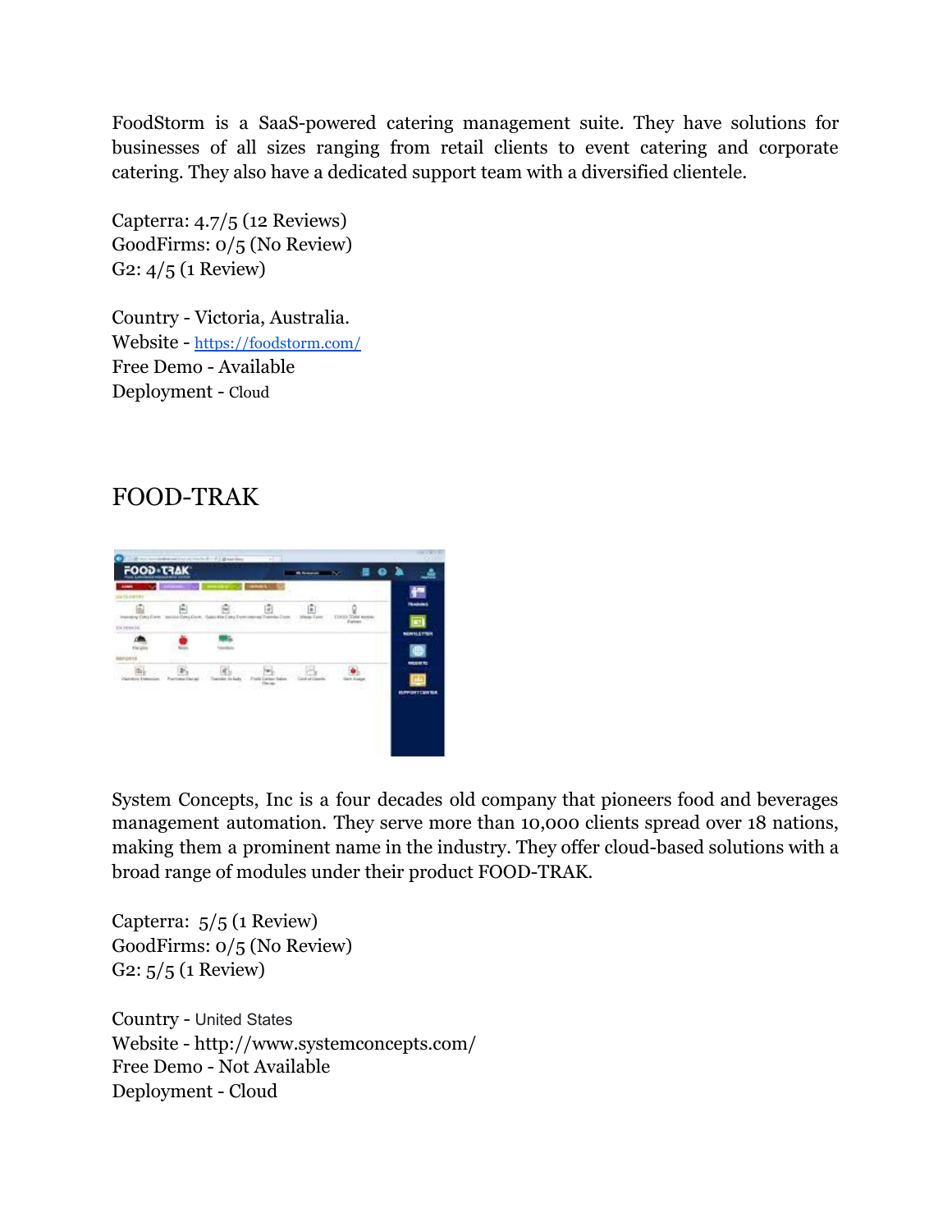FoodStorm is a SaaS-powered catering management suite. They have solutions for businesses of all sizes ranging from retail clients to event catering and corporate catering. They also have a dedicated support team with a diversified clientele.

Capterra: 4.7/5 (12 Reviews) GoodFirms: 0/5 (No Review) G2: 4/5 (1 Review)

Country - Victoria, Australia. Website - <https://foodstorm.com/> Free Demo - Available Deployment - Cloud

#### FOOD-TRAK



System Concepts, Inc is a four decades old company that pioneers food and beverages management automation. They serve more than 10,000 clients spread over 18 nations, making them a prominent name in the industry. They offer cloud-based solutions with a broad range of modules under their product FOOD-TRAK.

Capterra: 5/5 (1 Review) GoodFirms: 0/5 (No Review) G2: 5/5 (1 Review)

Country - United States Website - http://www.systemconcepts.com/ Free Demo - Not Available Deployment - Cloud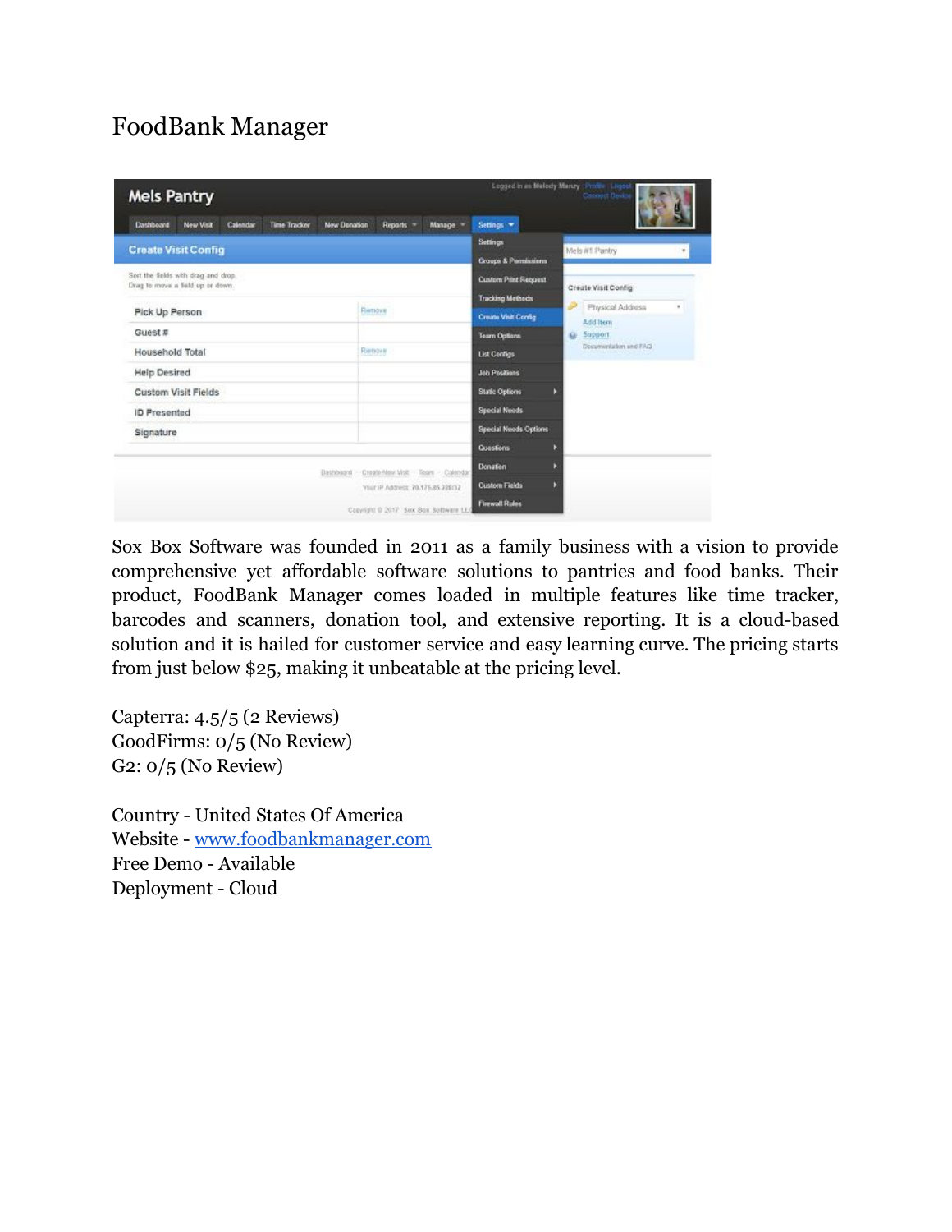## FoodBank Manager

| <b>Mels Pantry</b>                                                                                    |                     |                     |                                   |                                       |                                                                        |   | Legged in an Melody Maruy Profile Lisgo<br>Connect Device  |   |
|-------------------------------------------------------------------------------------------------------|---------------------|---------------------|-----------------------------------|---------------------------------------|------------------------------------------------------------------------|---|------------------------------------------------------------|---|
| Dashboard<br><b>New Visit</b><br>Calendar                                                             | <b>Time Tracker</b> | <b>New Denation</b> | Reports =                         | Manage =                              | Settings *                                                             |   |                                                            |   |
| <b>Create Visit Config</b><br>Sort the fields with drag and drop.<br>Drag to move a field up or down. |                     |                     |                                   |                                       | <b>Settings</b><br>Groups & Permissions<br><b>Custom Print Request</b> |   | Mels #1 Pantry                                             |   |
| Pick Up Person                                                                                        |                     |                     | Ramove                            |                                       | <b>Tracking Methods</b><br><b>Create Visit Config.</b>                 |   | Create Visit Config<br><b>Physical Address</b><br>Add Item | ٠ |
| Guest #<br>Household Total                                                                            |                     |                     | Renove                            |                                       | Team Options<br><b>List Centigs</b>                                    | ŵ | Support<br>Documentation and FAQ                           |   |
| <b>Help Desired</b><br><b>Custom Visit Fields</b>                                                     |                     |                     |                                   |                                       | <b>Job Positions</b><br><b>Static Options</b>                          |   |                                                            |   |
| <b>ID</b> Presented<br>Signature                                                                      |                     |                     |                                   |                                       | <b>Special Needs</b><br><b>Special Needs Options</b>                   |   |                                                            |   |
|                                                                                                       |                     | Bathboard           |                                   | - Create New Visit - Team - Calendar; | Questions<br>Donation                                                  | D |                                                            |   |
|                                                                                                       |                     |                     | Your IP Address 70.175.85.226(32) | Copyright @ 2017 Sox Box Software LLC | <b>Custom Fields</b><br><b>Firewall Rules</b>                          |   |                                                            |   |

Sox Box Software was founded in 2011 as a family business with a vision to provide comprehensive yet affordable software solutions to pantries and food banks. Their product, FoodBank Manager comes loaded in multiple features like time tracker, barcodes and scanners, donation tool, and extensive reporting. It is a cloud-based solution and it is hailed for customer service and easy learning curve. The pricing starts from just below \$25, making it unbeatable at the pricing level.

Capterra: 4.5/5 (2 Reviews) GoodFirms: 0/5 (No Review) G2: 0/5 (No Review)

Country - United States Of America Website - [www.foodbankmanager.com](http://www.foodbankmanager.com/) Free Demo - Available Deployment - Cloud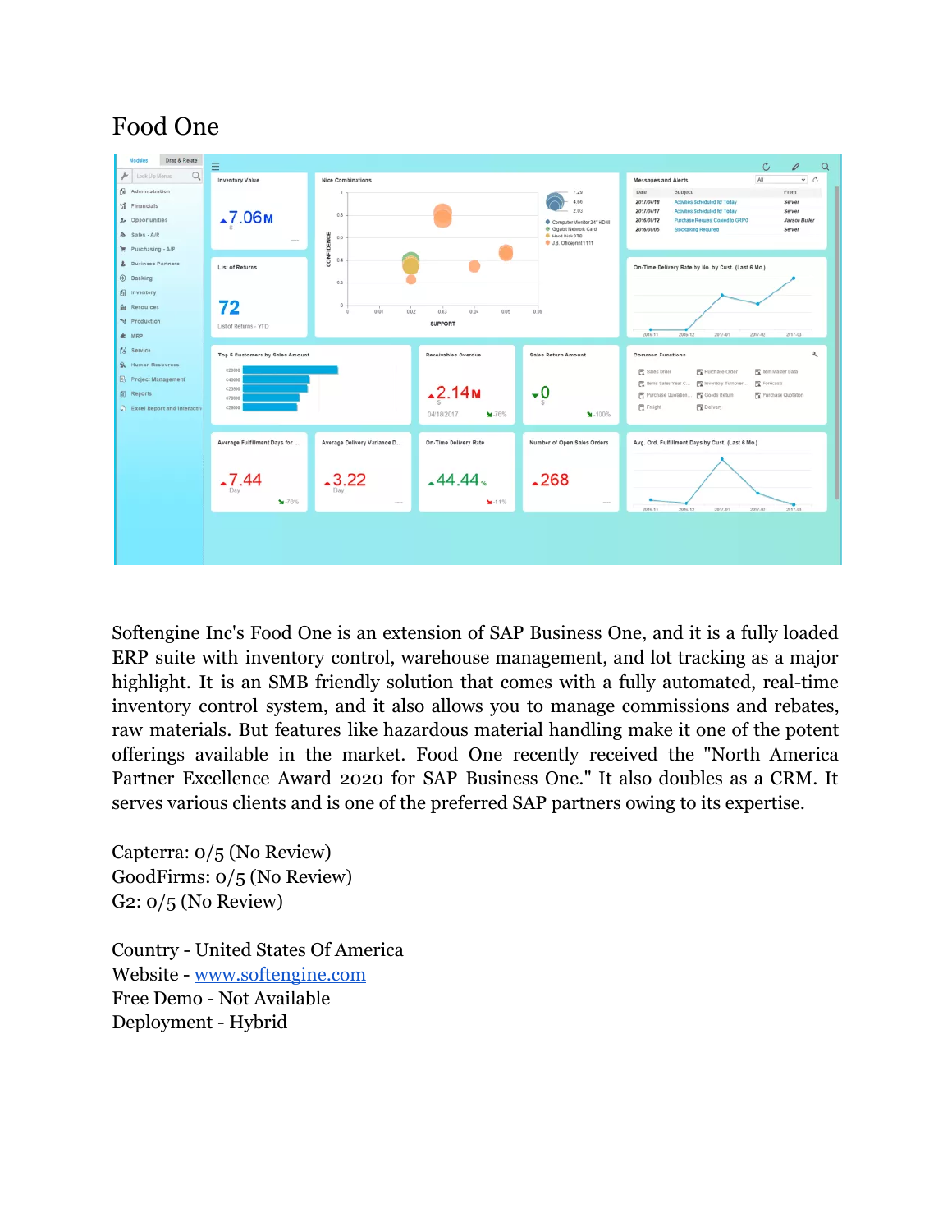### Food One



Softengine Inc's Food One is an extension of SAP Business One, and it is a fully loaded ERP suite with inventory control, warehouse management, and lot tracking as a major highlight. It is an SMB friendly solution that comes with a fully automated, real-time inventory control system, and it also allows you to manage commissions and rebates, raw materials. But features like hazardous material handling make it one of the potent offerings available in the market. Food One recently received the "North America Partner Excellence Award 2020 for SAP Business One." It also doubles as a CRM. It serves various clients and is one of the preferred SAP partners owing to its expertise.

Capterra: 0/5 (No Review) GoodFirms: 0/5 (No Review) G2: 0/5 (No Review)

Country - United States Of America Website - [www.softengine.com](http://www.softengine.com/) Free Demo - Not Available Deployment - Hybrid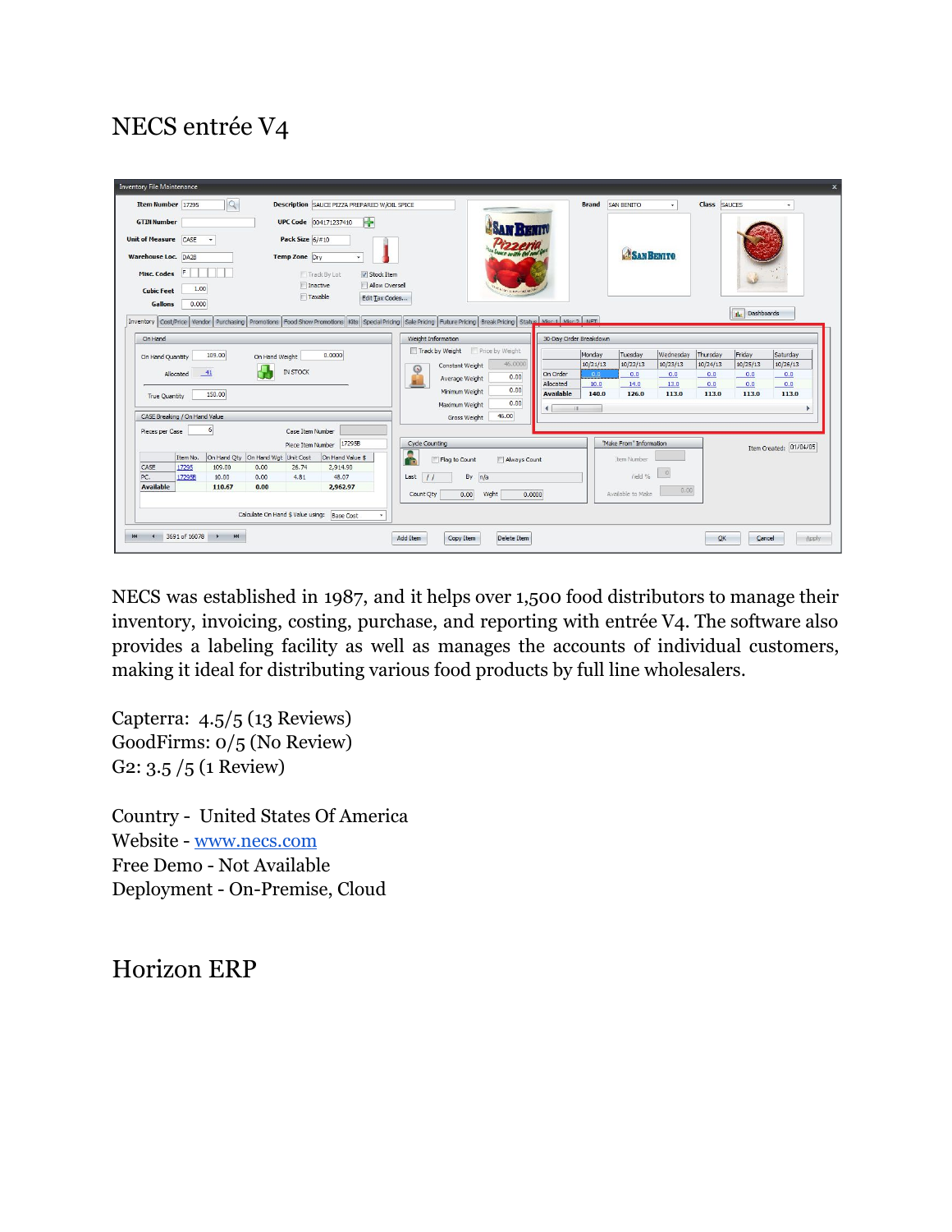## NECS entrée V4

| $\overline{Q}$<br><b>Item Number</b> 17295<br>SAN BENITO<br><b>Class</b> SAUCES<br><b>Description SAUCE PIZZA PREPARED W/OIL SPICE</b><br><b>Brand</b><br>$\div$<br>UPC Code 004171237410<br><b>GTIN Number</b><br>Pack Size 6/#10<br><b>Unit of Measure</b> CASE<br><b>SAN BENITO</b><br><b>Warehouse Loc.</b> DA2B<br><b>Temp Zone</b> Dry<br>Æ<br><b>Misc. Codes</b><br>Track By Lot<br>V Stock Item<br>$\Box$ Inactive<br>Allow Oversell<br>1.00<br><b>Cubic Feet</b><br>Taxable<br>Edit Tax Codes<br><b>Gallons</b><br>0.000<br><b>Ilu</b> Dashboards<br>Inventory Cost/Price Vendor Purchasing Promotions Food Show Promotions Kits Special Pricing Sule Pricing Euture Pricing Break Pricing Status Misr 1 Misr 2 MET<br>Weight Information<br>30-Day Order Breakdown<br>On Hand<br>Track by Weight<br>Price by Weight<br>Thursday<br>Friday<br>Monday<br>Tuesday<br>Wednesday<br>Saturday<br>109.00<br>0.0000<br>On Hand Weight<br>On Hand Ouantity<br>46,0000<br>10/21/13<br>10/22/13<br>10/23/13<br>10/24/13<br>10/25/13<br>10/26/13<br>Constant Weight<br>0<br><b>IN STOCK</b><br>41<br>Allocated<br>On Order<br>0.0<br>0.0<br>0.0<br>0.0<br>0.0<br>0.0<br>0.00<br>Average Weight<br>0.0<br>Allocated<br>10.0<br>14.0<br>13.0<br>0.0<br>0.0<br>0.00<br>Minimum Weight<br><b>Available</b><br>113.0<br>140.0<br>126.0<br>113.0<br>113.0<br>113.0<br>150,00<br><b>True Quantity</b><br>0.00<br>Maximum Weight<br>$\left  \right $<br><b>HELENGTHERE</b><br>-<br>46.00<br>CASE Breaking / On Hand Value<br>Gross Weight<br>6 <sup>1</sup><br>Case Item Number<br>Pieces per Case<br>"Make From" Information<br>Cycle Counting<br>Piece Item Number 172958<br>Item Created: 01/04/05<br>On Hand Oty On Hand Wgt Unit Cost<br>On Hand Value \$<br>Item No.<br>Always Count<br>Flag to Count<br>tem Number<br>÷<br>CASE<br>17295<br>109.00<br>0.00<br>26.74<br>2.914.90<br>$\vert 0 \vert$<br>rield %<br>n/a<br>By<br>PC.<br>48.07<br>Last<br>17295B<br>10.00<br>0.00<br>4.81 | <b>Inventory File Maintenance</b>              | $\overline{\mathbf{x}}$ |
|------------------------------------------------------------------------------------------------------------------------------------------------------------------------------------------------------------------------------------------------------------------------------------------------------------------------------------------------------------------------------------------------------------------------------------------------------------------------------------------------------------------------------------------------------------------------------------------------------------------------------------------------------------------------------------------------------------------------------------------------------------------------------------------------------------------------------------------------------------------------------------------------------------------------------------------------------------------------------------------------------------------------------------------------------------------------------------------------------------------------------------------------------------------------------------------------------------------------------------------------------------------------------------------------------------------------------------------------------------------------------------------------------------------------------------------------------------------------------------------------------------------------------------------------------------------------------------------------------------------------------------------------------------------------------------------------------------------------------------------------------------------------------------------------------------------------------------------------------------------------------------------------------------------------------------------------------------------------------------|------------------------------------------------|-------------------------|
|                                                                                                                                                                                                                                                                                                                                                                                                                                                                                                                                                                                                                                                                                                                                                                                                                                                                                                                                                                                                                                                                                                                                                                                                                                                                                                                                                                                                                                                                                                                                                                                                                                                                                                                                                                                                                                                                                                                                                                                    |                                                |                         |
|                                                                                                                                                                                                                                                                                                                                                                                                                                                                                                                                                                                                                                                                                                                                                                                                                                                                                                                                                                                                                                                                                                                                                                                                                                                                                                                                                                                                                                                                                                                                                                                                                                                                                                                                                                                                                                                                                                                                                                                    |                                                |                         |
| 0.00<br>Available to Make<br>Count Qty<br>Wght<br>0.0000<br>0.00<br>Calculate On Hand \$ Value using: Base Cost<br>3691 of 16078 ><br><b>KK</b>                                                                                                                                                                                                                                                                                                                                                                                                                                                                                                                                                                                                                                                                                                                                                                                                                                                                                                                                                                                                                                                                                                                                                                                                                                                                                                                                                                                                                                                                                                                                                                                                                                                                                                                                                                                                                                    | <b>Available</b><br>110.67<br>0.00<br>2,962.97 |                         |

NECS was established in 1987, and it helps over 1,500 food distributors to manage their inventory, invoicing, costing, purchase, and reporting with entrée V4. The software also provides a labeling facility as well as manages the accounts of individual customers, making it ideal for distributing various food products by full line wholesalers.

Capterra: 4.5/5 (13 Reviews) GoodFirms: 0/5 (No Review) G2: 3.5 /5 (1 Review)

Country - United States Of America Website - [www.necs.com](http://www.necs.com/) Free Demo - Not Available Deployment - On-Premise, Cloud

Horizon ERP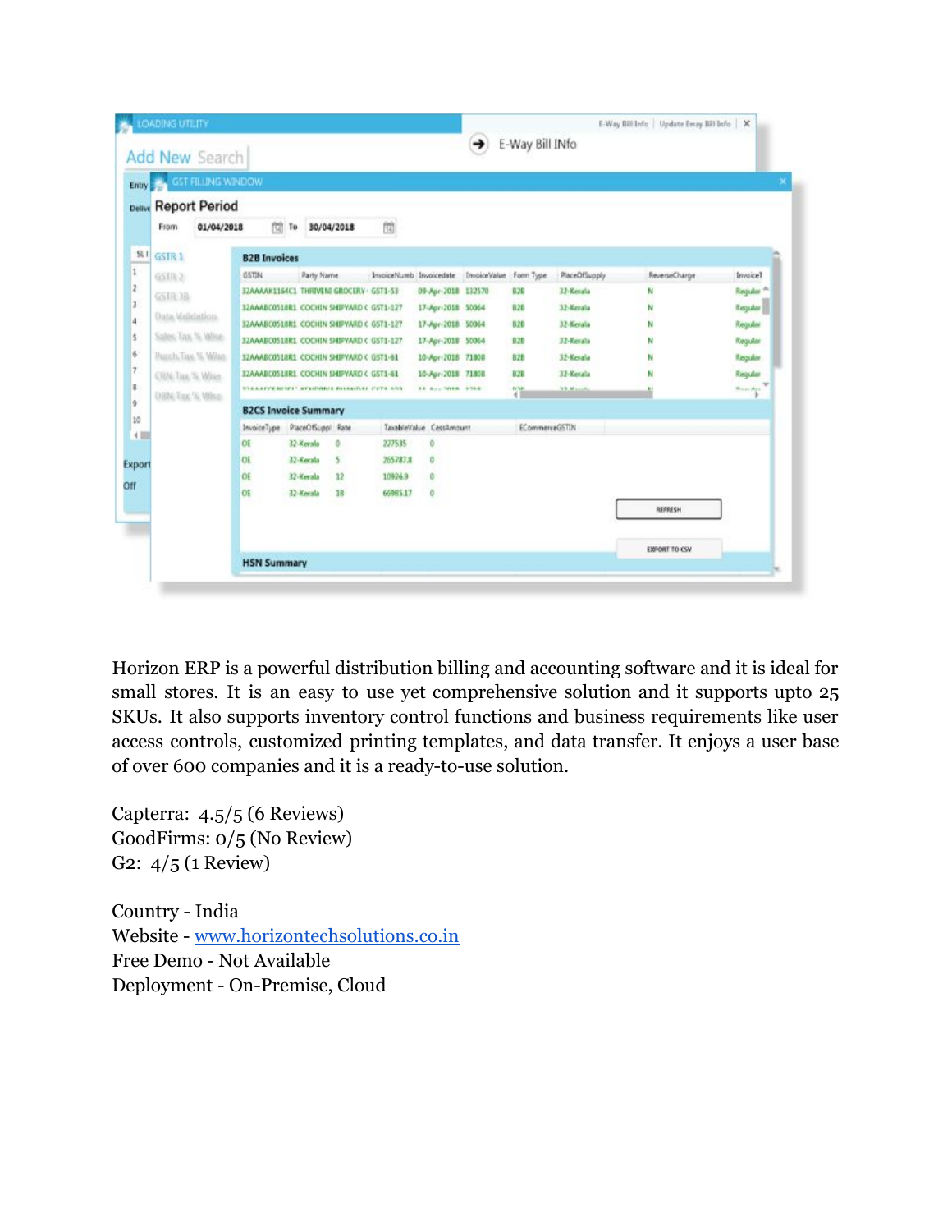| <b>Entry</b>             | <b>GST FILLING WINDOW</b> |                                             |                   |    |                         |                         |                        |                       |                      |               |                      |
|--------------------------|---------------------------|---------------------------------------------|-------------------|----|-------------------------|-------------------------|------------------------|-----------------------|----------------------|---------------|----------------------|
|                          |                           |                                             |                   |    |                         |                         |                        |                       |                      |               |                      |
| Delive                   | <b>Report Period</b>      |                                             |                   |    |                         |                         |                        |                       |                      |               |                      |
| From                     | 01/04/2018                | 開                                           | 30/04/2018<br>To  |    | 围                       |                         |                        |                       |                      |               |                      |
| SLI<br>GSTR <sub>1</sub> |                           | <b>B2B Invoices</b>                         |                   |    |                         |                         |                        |                       |                      |               |                      |
| GSTR <sub>2</sub>        |                           | <b>OSTIN</b>                                | Party Name        |    | InvoiceNumb Invoicedate |                         | InvoiceValue Form Type |                       | PlaceOfSupply        | ReverseCharge | InvoiceT             |
| GSTR3B                   |                           | 32AAAAK1164C1 THRIVENI GROCERY · GST1-53    |                   |    |                         | 09-Apr-2018 132570      |                        | <b>B2B</b>            | 32-Kerala            | N             | Requier <sup>A</sup> |
|                          |                           | 32AAABC0518R1_COCHIN SHIPYARD C GST1-127    |                   |    |                         | 17-Apr-2018 50064       |                        | <b>B.2B</b>           | 32-Kerala            | N             | Regular              |
| Data Validation.         |                           | 32AAABC0518R1_COCHIN SHIPYARD C GST1-127    |                   |    |                         | 17-Apr-2018 50064       |                        | 828                   | 32-Kevala            |               | Regular              |
| Sales Tax % Wise         |                           | 32AAABC0518R1_COCHIN SHIPYARD C GST1-127    |                   |    |                         | 17-Apr-2018 50064       |                        | <b>B2B</b>            | 32-Kevala            |               | Regular              |
| Puzch, Tax, % Wise.      |                           | 32AAABC0518R1_COCHIN SHIPYARD C G5T1-61     |                   |    |                         | 10-Apr-2018 71808       |                        | 828                   | 32-Kerala            |               | Regular              |
| CRIN: Tax, %, White.     |                           | 32AAABC0518R1_COCHIN SHIPYARD C GST1-61     |                   |    |                         | 10-Apr-2018 71808       |                        | <b>B.2B</b>           | 32-Kerala            | N             | Regular              |
| DBN: Top: % Wine         |                           | STAAATCEACUTT, WELDHAUS BUSSAIDAY COTS, SAY |                   |    |                         | <b>48 Buy-3088 9718</b> |                        | 端                     | <b>S.S. Magazine</b> |               | Walsey Age           |
|                          |                           | <b>B2CS Invoice Summary</b>                 |                   |    |                         |                         |                        |                       |                      |               |                      |
| 4回                       |                           | InvoiceType                                 | PlaceOfSuppl Rate |    |                         | TaxableValue CessAmount |                        | <b>ECommerceGSTIN</b> |                      |               |                      |
|                          |                           | OE                                          | 32-Kerala         | o  | 227535                  | $\theta$                |                        |                       |                      |               |                      |
| Export                   |                           | OE                                          | 32-Kerala         | 5  | 265787.8                | $\alpha$                |                        |                       |                      |               |                      |
|                          |                           | OE                                          | 32-Kerala         | 12 | 10926.9                 | $\alpha$                |                        |                       |                      |               |                      |
|                          |                           | OE                                          | 32-Kerala         | 18 | 66985.17                | $\theta$                |                        |                       |                      |               |                      |
|                          |                           |                                             |                   |    |                         |                         |                        |                       |                      | REFRESH       |                      |
|                          |                           |                                             |                   |    |                         |                         |                        |                       |                      |               |                      |
|                          |                           |                                             |                   |    |                         |                         |                        |                       |                      | EXPORT TO CSV |                      |

Horizon ERP is a powerful distribution billing and accounting software and it is ideal for small stores. It is an easy to use yet comprehensive solution and it supports upto 25 SKUs. It also supports inventory control functions and business requirements like user access controls, customized printing templates, and data transfer. It enjoys a user base of over 600 companies and it is a ready-to-use solution.

Capterra: 4.5/5 (6 Reviews) GoodFirms: 0/5 (No Review) G2: 4/5 (1 Review)

Country - India Website - [www.horizontechsolutions.co.in](http://www.horizontechsolutions.co.in/) Free Demo - Not Available Deployment - On-Premise, Cloud